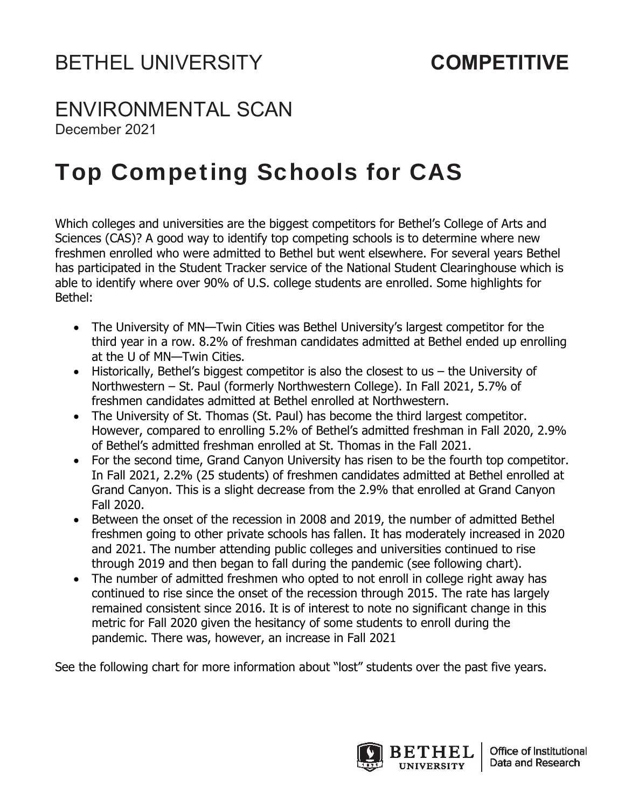## ENVIRONMENTAL SCAN

December 2021

## Top Competing Schools for CAS

Which colleges and universities are the biggest competitors for Bethel's College of Arts and Sciences (CAS)? A good way to identify top competing schools is to determine where new freshmen enrolled who were admitted to Bethel but went elsewhere. For several years Bethel has participated in the Student Tracker service of the National Student Clearinghouse which is able to identify where over 90% of U.S. college students are enrolled. Some highlights for Bethel:

- The University of MN—Twin Cities was Bethel University's largest competitor for the third year in a row. 8.2% of freshman candidates admitted at Bethel ended up enrolling at the U of MN—Twin Cities.
- Historically, Bethel's biggest competitor is also the closest to us the University of Northwestern – St. Paul (formerly Northwestern College). In Fall 2021, 5.7% of freshmen candidates admitted at Bethel enrolled at Northwestern.
- The University of St. Thomas (St. Paul) has become the third largest competitor. However, compared to enrolling 5.2% of Bethel's admitted freshman in Fall 2020, 2.9% of Bethel's admitted freshman enrolled at St. Thomas in the Fall 2021.
- For the second time, Grand Canyon University has risen to be the fourth top competitor. In Fall 2021, 2.2% (25 students) of freshmen candidates admitted at Bethel enrolled at Grand Canyon. This is a slight decrease from the 2.9% that enrolled at Grand Canyon Fall 2020.
- Between the onset of the recession in 2008 and 2019, the number of admitted Bethel freshmen going to other private schools has fallen. It has moderately increased in 2020 and 2021. The number attending public colleges and universities continued to rise through 2019 and then began to fall during the pandemic (see following chart).
- The number of admitted freshmen who opted to not enroll in college right away has continued to rise since the onset of the recession through 2015. The rate has largely remained consistent since 2016. It is of interest to note no significant change in this metric for Fall 2020 given the hesitancy of some students to enroll during the pandemic. There was, however, an increase in Fall 2021

See the following chart for more information about "lost" students over the past five years.